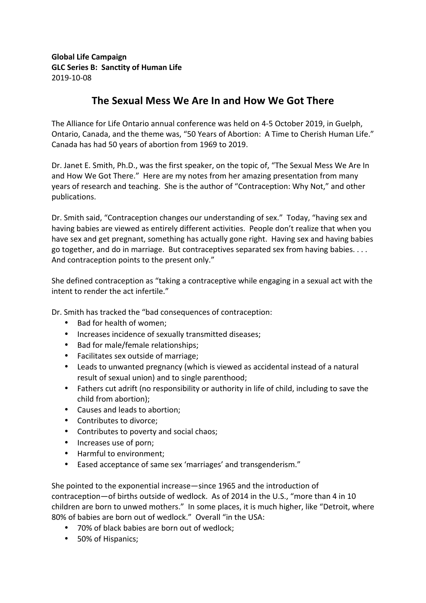## **Global Life Campaign GLC Series B: Sanctity of Human Life** 2019-10-08

## The Sexual Mess We Are In and How We Got There

The Alliance for Life Ontario annual conference was held on 4-5 October 2019, in Guelph, Ontario, Canada, and the theme was, "50 Years of Abortion: A Time to Cherish Human Life." Canada has had 50 years of abortion from 1969 to 2019.

Dr. Janet E. Smith, Ph.D., was the first speaker, on the topic of, "The Sexual Mess We Are In and How We Got There." Here are my notes from her amazing presentation from many years of research and teaching. She is the author of "Contraception: Why Not," and other publications. 

Dr. Smith said, "Contraception changes our understanding of sex." Today, "having sex and having babies are viewed as entirely different activities. People don't realize that when you have sex and get pregnant, something has actually gone right. Having sex and having babies go together, and do in marriage. But contraceptives separated sex from having babies.  $\dots$ And contraception points to the present only."

She defined contraception as "taking a contraceptive while engaging in a sexual act with the intent to render the act infertile."

Dr. Smith has tracked the "bad consequences of contraception:

- Bad for health of women;
- Increases incidence of sexually transmitted diseases;
- Bad for male/female relationships;
- Facilitates sex outside of marriage;
- Leads to unwanted pregnancy (which is viewed as accidental instead of a natural result of sexual union) and to single parenthood;
- Fathers cut adrift (no responsibility or authority in life of child, including to save the child from abortion);
- Causes and leads to abortion;
- Contributes to divorce:
- Contributes to poverty and social chaos;
- Increases use of porn;
- Harmful to environment;
- Eased acceptance of same sex 'marriages' and transgenderism."

She pointed to the exponential increase—since 1965 and the introduction of contraception—of births outside of wedlock. As of 2014 in the U.S., "more than 4 in 10 children are born to unwed mothers." In some places, it is much higher, like "Detroit, where 80% of babies are born out of wedlock." Overall "in the USA:

- 70% of black babies are born out of wedlock;
- 50% of Hispanics;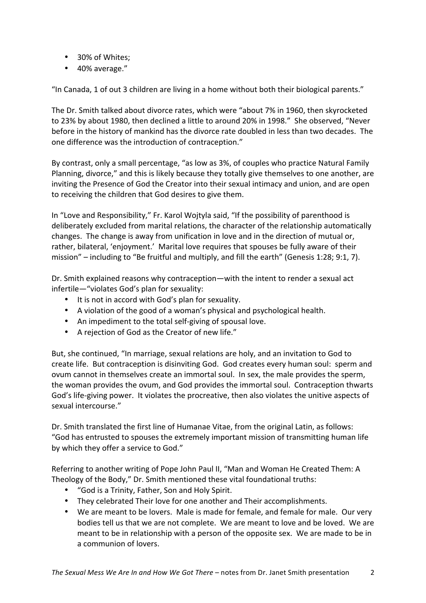- 30% of Whites;
- 40% average."

"In Canada, 1 of out 3 children are living in a home without both their biological parents."

The Dr. Smith talked about divorce rates, which were "about 7% in 1960, then skyrocketed to 23% by about 1980, then declined a little to around 20% in 1998." She observed, "Never before in the history of mankind has the divorce rate doubled in less than two decades. The one difference was the introduction of contraception."

By contrast, only a small percentage, "as low as 3%, of couples who practice Natural Family Planning, divorce," and this is likely because they totally give themselves to one another, are inviting the Presence of God the Creator into their sexual intimacy and union, and are open to receiving the children that God desires to give them.

In "Love and Responsibility," Fr. Karol Wojtyla said, "If the possibility of parenthood is deliberately excluded from marital relations, the character of the relationship automatically changes. The change is away from unification in love and in the direction of mutual or, rather, bilateral, 'enjoyment.' Marital love requires that spouses be fully aware of their mission" – including to "Be fruitful and multiply, and fill the earth" (Genesis 1:28; 9:1, 7).

Dr. Smith explained reasons why contraception—with the intent to render a sexual act infertile—"violates God's plan for sexuality:

- It is not in accord with God's plan for sexuality.
- A violation of the good of a woman's physical and psychological health.
- An impediment to the total self-giving of spousal love.
- A rejection of God as the Creator of new life."

But, she continued, "In marriage, sexual relations are holy, and an invitation to God to create life. But contraception is disinviting God. God creates every human soul: sperm and ovum cannot in themselves create an immortal soul. In sex, the male provides the sperm, the woman provides the ovum, and God provides the immortal soul. Contraception thwarts God's life-giving power. It violates the procreative, then also violates the unitive aspects of sexual intercourse."

Dr. Smith translated the first line of Humanae Vitae, from the original Latin, as follows: "God has entrusted to spouses the extremely important mission of transmitting human life by which they offer a service to God."

Referring to another writing of Pope John Paul II, "Man and Woman He Created Them: A Theology of the Body," Dr. Smith mentioned these vital foundational truths:

- "God is a Trinity, Father, Son and Holy Spirit.
- They celebrated Their love for one another and Their accomplishments.
- We are meant to be lovers. Male is made for female, and female for male. Our very bodies tell us that we are not complete. We are meant to love and be loved. We are meant to be in relationship with a person of the opposite sex. We are made to be in a communion of lovers.